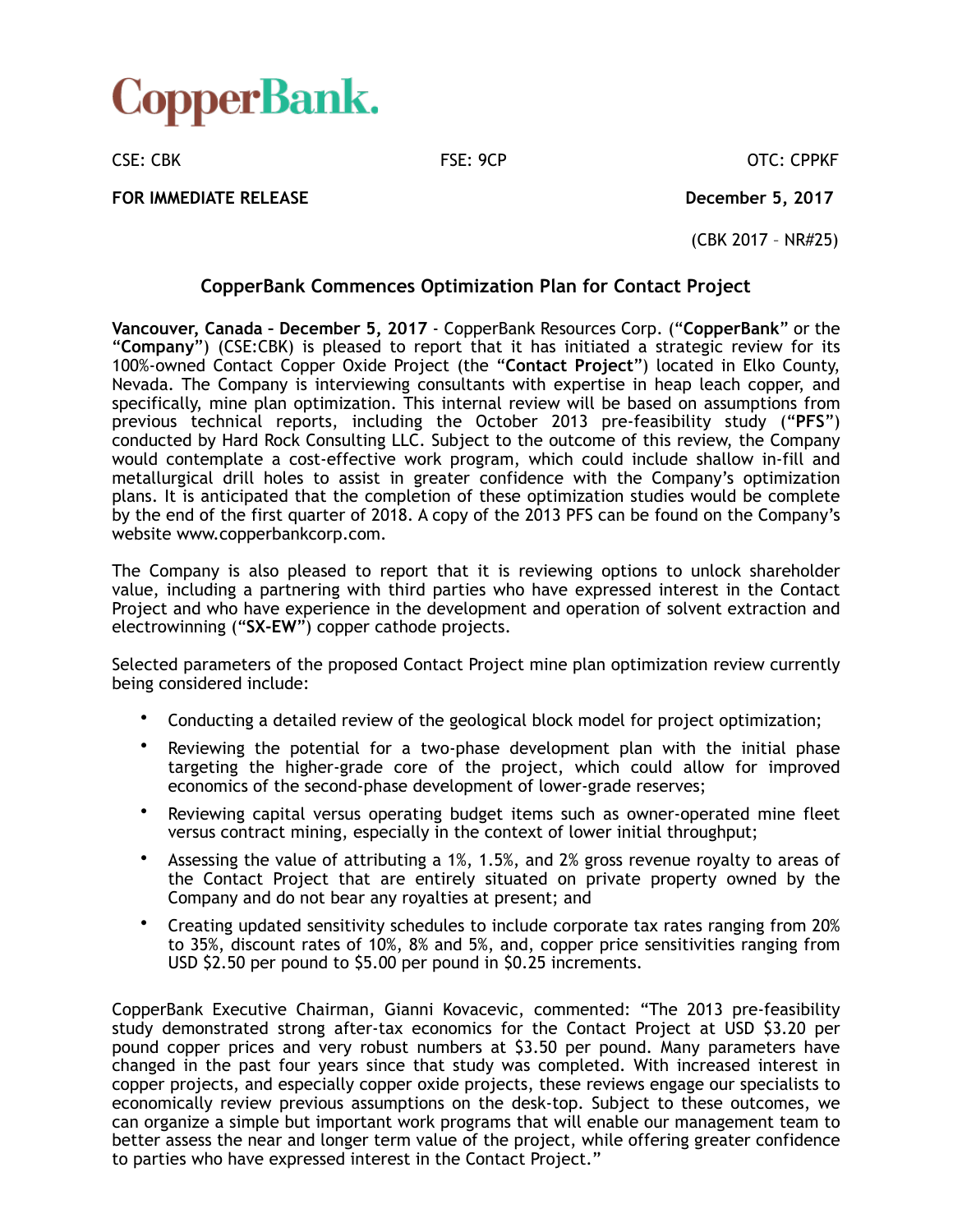

CSE: CBK FSE: 9CP CSE: CBK

**FOR IMMEDIATE RELEASE December 5, 2017** 

(CBK 2017 – NR#25)

## **CopperBank Commences Optimization Plan for Contact Project**

**Vancouver, Canada – December 5, 2017** - CopperBank Resources Corp. ("**CopperBank**" or the "**Company**") (CSE:CBK) is pleased to report that it has initiated a strategic review for its 100%-owned Contact Copper Oxide Project (the "**Contact Project**") located in Elko County, Nevada. The Company is interviewing consultants with expertise in heap leach copper, and specifically, mine plan optimization. This internal review will be based on assumptions from previous technical reports, including the October 2013 pre-feasibility study ("**PFS**") conducted by Hard Rock Consulting LLC. Subject to the outcome of this review, the Company would contemplate a cost-effective work program, which could include shallow in-fill and metallurgical drill holes to assist in greater confidence with the Company's optimization plans. It is anticipated that the completion of these optimization studies would be complete by the end of the first quarter of 2018. A copy of the 2013 PFS can be found on the Company's website www.copperbankcorp.com.

The Company is also pleased to report that it is reviewing options to unlock shareholder value, including a partnering with third parties who have expressed interest in the Contact Project and who have experience in the development and operation of solvent extraction and electrowinning ("**SX-EW**") copper cathode projects.

Selected parameters of the proposed Contact Project mine plan optimization review currently being considered include:

- Conducting a detailed review of the geological block model for project optimization;
- Reviewing the potential for a two-phase development plan with the initial phase targeting the higher-grade core of the project, which could allow for improved economics of the second-phase development of lower-grade reserves;
- Reviewing capital versus operating budget items such as owner-operated mine fleet versus contract mining, especially in the context of lower initial throughput;
- Assessing the value of attributing a 1%, 1.5%, and 2% gross revenue royalty to areas of the Contact Project that are entirely situated on private property owned by the Company and do not bear any royalties at present; and
- Creating updated sensitivity schedules to include corporate tax rates ranging from 20% to 35%, discount rates of 10%, 8% and 5%, and, copper price sensitivities ranging from USD \$2.50 per pound to \$5.00 per pound in \$0.25 increments.

CopperBank Executive Chairman, Gianni Kovacevic, commented: "The 2013 pre-feasibility study demonstrated strong after-tax economics for the Contact Project at USD \$3.20 per pound copper prices and very robust numbers at \$3.50 per pound. Many parameters have changed in the past four years since that study was completed. With increased interest in copper projects, and especially copper oxide projects, these reviews engage our specialists to economically review previous assumptions on the desk-top. Subject to these outcomes, we can organize a simple but important work programs that will enable our management team to better assess the near and longer term value of the project, while offering greater confidence to parties who have expressed interest in the Contact Project."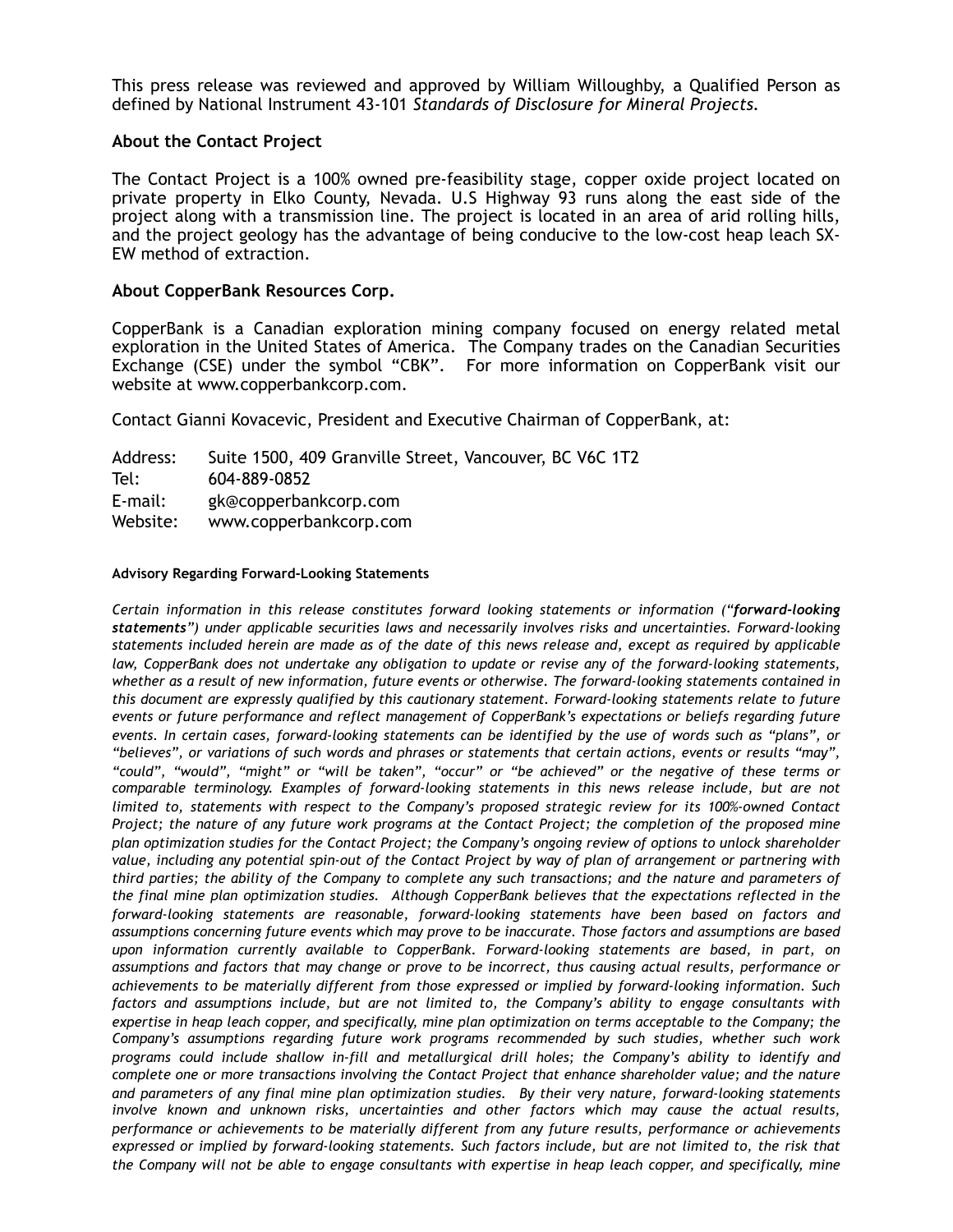This press release was reviewed and approved by William Willoughby, a Qualified Person as defined by National Instrument 43-101 *Standards of Disclosure for Mineral Projects.* 

## **About the Contact Project**

The Contact Project is a 100% owned pre-feasibility stage, copper oxide project located on private property in Elko County, Nevada. U.S Highway 93 runs along the east side of the project along with a transmission line. The project is located in an area of arid rolling hills, and the project geology has the advantage of being conducive to the low-cost heap leach SX-EW method of extraction.

## **About CopperBank Resources Corp.**

CopperBank is a Canadian exploration mining company focused on energy related metal exploration in the United States of America. The Company trades on the Canadian Securities Exchange (CSE) under the symbol "CBK". For more information on CopperBank visit our website at www.copperbankcorp.com.

Contact Gianni Kovacevic, President and Executive Chairman of CopperBank, at:

| Address: | Suite 1500, 409 Granville Street, Vancouver, BC V6C 1T2 |
|----------|---------------------------------------------------------|
| Tel:     | 604-889-0852                                            |
| E-mail:  | gk@copperbankcorp.com                                   |
| Website: | www.copperbankcorp.com                                  |

## **Advisory Regarding Forward-Looking Statements**

*Certain information in this release constitutes forward looking statements or information ("forward-looking statements") under applicable securities laws and necessarily involves risks and uncertainties. Forward-looking statements included herein are made as of the date of this news release and, except as required by applicable law, CopperBank does not undertake any obligation to update or revise any of the forward-looking statements, whether as a result of new information, future events or otherwise. The forward-looking statements contained in this document are expressly qualified by this cautionary statement. Forward-looking statements relate to future events or future performance and reflect management of CopperBank's expectations or beliefs regarding future events. In certain cases, forward-looking statements can be identified by the use of words such as "plans", or "believes", or variations of such words and phrases or statements that certain actions, events or results "may", "could", "would", "might" or "will be taken", "occur" or "be achieved" or the negative of these terms or comparable terminology. Examples of forward-looking statements in this news release include, but are not limited to, statements with respect to the Company's proposed strategic review for its 100%-owned Contact Project; the nature of any future work programs at the Contact Project; the completion of the proposed mine plan optimization studies for the Contact Project; the Company's ongoing review of options to unlock shareholder value, including any potential spin-out of the Contact Project by way of plan of arrangement or partnering with third parties; the ability of the Company to complete any such transactions; and the nature and parameters of the final mine plan optimization studies. Although CopperBank believes that the expectations reflected in the forward-looking statements are reasonable, forward-looking statements have been based on factors and assumptions concerning future events which may prove to be inaccurate. Those factors and assumptions are based upon information currently available to CopperBank. Forward-looking statements are based, in part, on assumptions and factors that may change or prove to be incorrect, thus causing actual results, performance or achievements to be materially different from those expressed or implied by forward-looking information. Such factors and assumptions include, but are not limited to, the Company's ability to engage consultants with expertise in heap leach copper, and specifically, mine plan optimization on terms acceptable to the Company; the Company's assumptions regarding future work programs recommended by such studies, whether such work programs could include shallow in-fill and metallurgical drill holes; the Company's ability to identify and complete one or more transactions involving the Contact Project that enhance shareholder value; and the nature and parameters of any final mine plan optimization studies. By their very nature, forward-looking statements involve known and unknown risks, uncertainties and other factors which may cause the actual results, performance or achievements to be materially different from any future results, performance or achievements*  expressed or implied by forward-looking statements. Such factors include, but are not limited to, the risk that *the Company will not be able to engage consultants with expertise in heap leach copper, and specifically, mine*